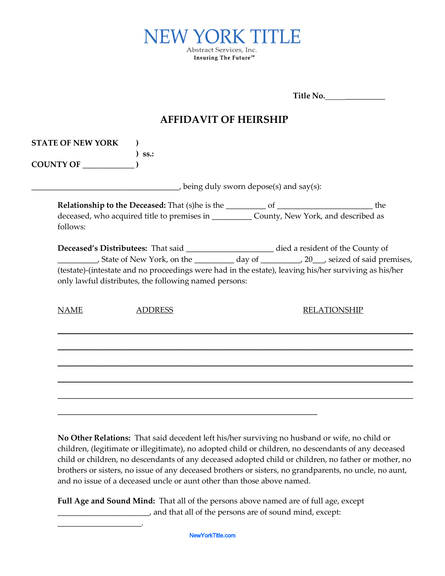

|                                       |                                                                                                                                                                                                                                                                                                                                                        | Title No. |                     |
|---------------------------------------|--------------------------------------------------------------------------------------------------------------------------------------------------------------------------------------------------------------------------------------------------------------------------------------------------------------------------------------------------------|-----------|---------------------|
| <b>AFFIDAVIT OF HEIRSHIP</b>          |                                                                                                                                                                                                                                                                                                                                                        |           |                     |
| <b>STATE OF NEW YORK</b><br>COUNTY OF | SS.                                                                                                                                                                                                                                                                                                                                                    |           |                     |
|                                       | being duly sworn depose(s) and say(s):                                                                                                                                                                                                                                                                                                                 |           |                     |
| follows:                              | deceased, who acquired title to premises in ____________ County, New York, and described as                                                                                                                                                                                                                                                            |           |                     |
|                                       | Deceased's Distributees: That said ______________________ died a resident of the County of<br>State of New York, on the __________ day of _________, 20___, seized of said premises,<br>(testate)-(intestate and no proceedings were had in the estate), leaving his/her surviving as his/her<br>only lawful distributes, the following named persons: |           |                     |
| <b>NAME</b>                           | <b>ADDRESS</b>                                                                                                                                                                                                                                                                                                                                         |           | <b>RELATIONSHIP</b> |
|                                       |                                                                                                                                                                                                                                                                                                                                                        |           |                     |
|                                       |                                                                                                                                                                                                                                                                                                                                                        |           |                     |
|                                       |                                                                                                                                                                                                                                                                                                                                                        |           |                     |
|                                       |                                                                                                                                                                                                                                                                                                                                                        |           |                     |
|                                       |                                                                                                                                                                                                                                                                                                                                                        |           |                     |

**No Other Relations:** That said decedent left his/her surviving no husband or wife, no child or children, (legitimate or illegitimate), no adopted child or children, no descendants of any deceased child or children, no descendants of any deceased adopted child or children, no father or mother, no brothers or sisters, no issue of any deceased brothers or sisters, no grandparents, no uncle, no aunt, and no issue of a deceased uncle or aunt other than those above named.

**Full Age and Sound Mind:** That all of the persons above named are of full age, except \_\_\_\_\_\_\_\_\_\_\_\_\_\_\_\_\_\_\_\_\_\_\_, and that all of the persons are of sound mind, except:

NewYorkTitle.com

\_\_\_\_\_\_\_\_\_\_\_\_\_\_\_\_\_\_\_\_\_.